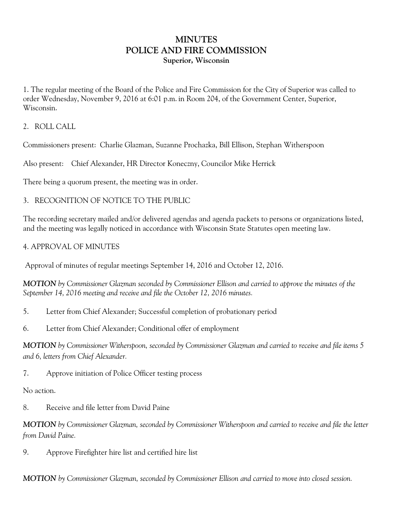# **MINUTES POLICE AND FIRE COMMISSION Superior, Wisconsin**

1. The regular meeting of the Board of the Police and Fire Commission for the City of Superior was called to order Wednesday, November 9, 2016 at 6:01 p.m. in Room 204, of the Government Center, Superior, Wisconsin.

### 2. ROLL CALL

Commissioners present: Charlie Glazman, Suzanne Prochazka, Bill Ellison, Stephan Witherspoon

Also present: Chief Alexander, HR Director Koneczny, Councilor Mike Herrick

There being a quorum present, the meeting was in order.

#### 3. RECOGNITION OF NOTICE TO THE PUBLIC

The recording secretary mailed and/or delivered agendas and agenda packets to persons or organizations listed, and the meeting was legally noticed in accordance with Wisconsin State Statutes open meeting law.

#### 4. APPROVAL OF MINUTES

Approval of minutes of regular meetings September 14, 2016 and October 12, 2016.

*MOTION by Commissioner Glazman seconded by Commissioner Ellison and carried to approve the minutes of the September 14, 2016 meeting and receive and file the October 12, 2016 minutes.*

- 5. Letter from Chief Alexander; Successful completion of probationary period
- 6. Letter from Chief Alexander; Conditional offer of employment

*MOTION by Commissioner Witherspoon, seconded by Commissioner Glazman and carried to receive and file items 5 and 6, letters from Chief Alexander.*

7. Approve initiation of Police Officer testing process

No action.

8. Receive and file letter from David Paine

*MOTION by Commissioner Glazman, seconded by Commissioner Witherspoon and carried to receive and file the letter from David Paine.*

9. Approve Firefighter hire list and certified hire list

*MOTION by Commissioner Glazman, seconded by Commissioner Ellison and carried to move into closed session.*